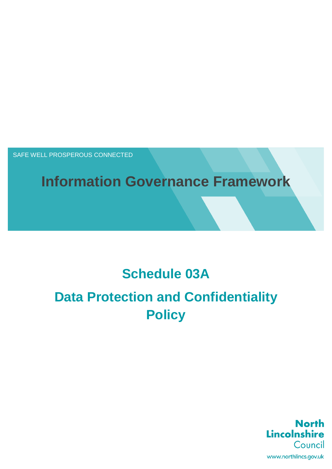SAFE WELL PROSPEROUS CONNECTED

# **Information Governance Framework**

## **Schedule 03A**

# **Data Protection and Confidentiality Policy**

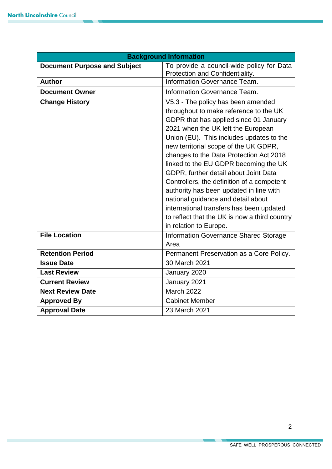| <b>Background Information</b>       |                                                                                                                                                                                                                                                                                                                                                                                                                                                                                                                                                           |  |  |  |
|-------------------------------------|-----------------------------------------------------------------------------------------------------------------------------------------------------------------------------------------------------------------------------------------------------------------------------------------------------------------------------------------------------------------------------------------------------------------------------------------------------------------------------------------------------------------------------------------------------------|--|--|--|
| <b>Document Purpose and Subject</b> | To provide a council-wide policy for Data                                                                                                                                                                                                                                                                                                                                                                                                                                                                                                                 |  |  |  |
| <b>Author</b>                       | Protection and Confidentiality.                                                                                                                                                                                                                                                                                                                                                                                                                                                                                                                           |  |  |  |
|                                     | Information Governance Team.                                                                                                                                                                                                                                                                                                                                                                                                                                                                                                                              |  |  |  |
| <b>Document Owner</b>               | Information Governance Team.                                                                                                                                                                                                                                                                                                                                                                                                                                                                                                                              |  |  |  |
| <b>Change History</b>               | V5.3 - The policy has been amended<br>throughout to make reference to the UK<br>GDPR that has applied since 01 January<br>2021 when the UK left the European<br>Union (EU). This includes updates to the<br>new territorial scope of the UK GDPR,<br>changes to the Data Protection Act 2018<br>linked to the EU GDPR becoming the UK<br>GDPR, further detail about Joint Data<br>Controllers, the definition of a competent<br>authority has been updated in line with<br>national guidance and detail about<br>international transfers has been updated |  |  |  |
|                                     | to reflect that the UK is now a third country<br>in relation to Europe.                                                                                                                                                                                                                                                                                                                                                                                                                                                                                   |  |  |  |
| <b>File Location</b>                | <b>Information Governance Shared Storage</b><br>Area                                                                                                                                                                                                                                                                                                                                                                                                                                                                                                      |  |  |  |
| <b>Retention Period</b>             | Permanent Preservation as a Core Policy.                                                                                                                                                                                                                                                                                                                                                                                                                                                                                                                  |  |  |  |
| <b>Issue Date</b>                   | 30 March 2021                                                                                                                                                                                                                                                                                                                                                                                                                                                                                                                                             |  |  |  |
| <b>Last Review</b>                  | January 2020                                                                                                                                                                                                                                                                                                                                                                                                                                                                                                                                              |  |  |  |
| <b>Current Review</b>               | January 2021                                                                                                                                                                                                                                                                                                                                                                                                                                                                                                                                              |  |  |  |
| <b>Next Review Date</b>             | March 2022                                                                                                                                                                                                                                                                                                                                                                                                                                                                                                                                                |  |  |  |
| <b>Approved By</b>                  | <b>Cabinet Member</b>                                                                                                                                                                                                                                                                                                                                                                                                                                                                                                                                     |  |  |  |
| <b>Approval Date</b>                | 23 March 2021                                                                                                                                                                                                                                                                                                                                                                                                                                                                                                                                             |  |  |  |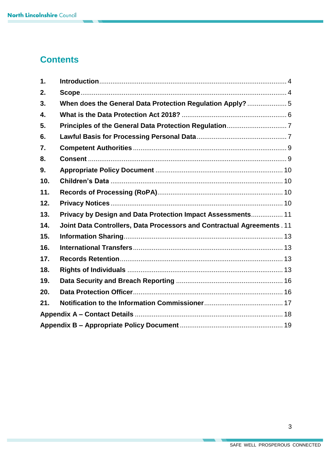## **Contents**

| $\mathbf 1$ . |                                                                        |  |
|---------------|------------------------------------------------------------------------|--|
| 2.            |                                                                        |  |
| 3.            |                                                                        |  |
| 4.            |                                                                        |  |
| 5.            |                                                                        |  |
| 6.            |                                                                        |  |
| 7.            |                                                                        |  |
| 8.            |                                                                        |  |
| 9.            |                                                                        |  |
| 10.           |                                                                        |  |
| 11.           |                                                                        |  |
| 12.           |                                                                        |  |
| 13.           | Privacy by Design and Data Protection Impact Assessments 11            |  |
| 14.           | Joint Data Controllers, Data Processors and Contractual Agreements. 11 |  |
| 15.           |                                                                        |  |
| 16.           |                                                                        |  |
| 17.           |                                                                        |  |
| 18.           |                                                                        |  |
| 19.           |                                                                        |  |
| 20.           |                                                                        |  |
| 21.           |                                                                        |  |
|               |                                                                        |  |
|               |                                                                        |  |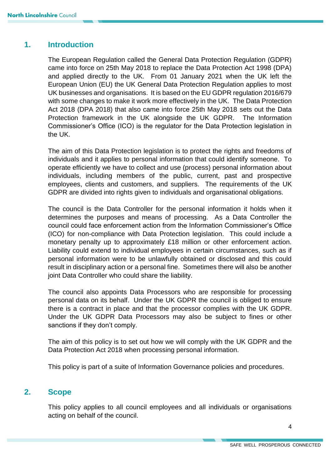## <span id="page-3-0"></span>**1. Introduction**

The European Regulation called the General Data Protection Regulation (GDPR) came into force on 25th May 2018 to replace the Data Protection Act 1998 (DPA) and applied directly to the UK. From 01 January 2021 when the UK left the European Union (EU) the UK General Data Protection Regulation applies to most UK businesses and organisations. It is based on the EU GDPR regulation 2016/679 with some changes to make it work more effectively in the UK. The Data Protection Act 2018 (DPA 2018) that also came into force 25th May 2018 sets out the Data Protection framework in the UK alongside the UK GDPR. The Information Commissioner's Office (ICO) is the regulator for the Data Protection legislation in the UK.

The aim of this Data Protection legislation is to protect the rights and freedoms of individuals and it applies to personal information that could identify someone. To operate efficiently we have to collect and use (process) personal information about individuals, including members of the public, current, past and prospective employees, clients and customers, and suppliers. The requirements of the UK GDPR are divided into rights given to individuals and organisational obligations.

The council is the Data Controller for the personal information it holds when it determines the purposes and means of processing. As a Data Controller the council could face enforcement action from the Information Commissioner's Office (ICO) for non-compliance with Data Protection legislation. This could include a monetary penalty up to approximately £18 million or other enforcement action. Liability could extend to individual employees in certain circumstances, such as if personal information were to be unlawfully obtained or disclosed and this could result in disciplinary action or a personal fine. Sometimes there will also be another joint Data Controller who could share the liability.

The council also appoints Data Processors who are responsible for processing personal data on its behalf. Under the UK GDPR the council is obliged to ensure there is a contract in place and that the processor complies with the UK GDPR. Under the UK GDPR Data Processors may also be subject to fines or other sanctions if they don't comply.

The aim of this policy is to set out how we will comply with the UK GDPR and the Data Protection Act 2018 when processing personal information.

This policy is part of a suite of Information Governance policies and procedures.

## <span id="page-3-1"></span>**2. Scope**

This policy applies to all council employees and all individuals or organisations acting on behalf of the council.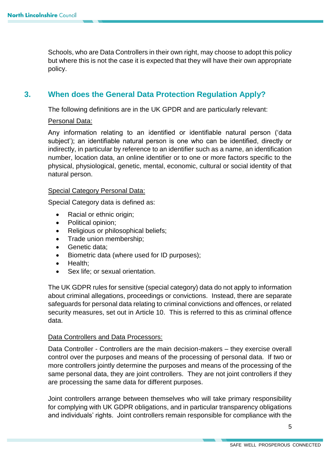Schools, who are Data Controllers in their own right, may choose to adopt this policy but where this is not the case it is expected that they will have their own appropriate policy.

## <span id="page-4-0"></span>**3. When does the General Data Protection Regulation Apply?**

The following definitions are in the UK GPDR and are particularly relevant:

#### Personal Data:

Any information relating to an identified or identifiable natural person ('data subject'); an identifiable natural person is one who can be identified, directly or indirectly, in particular by reference to an identifier such as a name, an identification number, location data, an online identifier or to one or more factors specific to the physical, physiological, genetic, mental, economic, cultural or social identity of that natural person.

#### Special Category Personal Data:

Special Category data is defined as:

- Racial or ethnic origin;
- Political opinion:
- Religious or philosophical beliefs;
- Trade union membership;
- Genetic data:
- Biometric data (where used for ID purposes);
- Health;
- Sex life; or sexual orientation.

The UK GDPR rules for sensitive (special category) data do not apply to information about criminal allegations, proceedings or convictions. Instead, there are separate safeguards for personal data relating to criminal convictions and offences, or related security measures, set out in Article 10. This is referred to this as criminal offence data.

#### Data Controllers and Data Processors:

Data Controller - Controllers are the main decision-makers – they exercise overall control over the purposes and means of the processing of personal data. If two or more controllers jointly determine the purposes and means of the processing of the same personal data, they are joint controllers. They are not joint controllers if they are processing the same data for different purposes.

Joint controllers arrange between themselves who will take primary responsibility for complying with UK GDPR obligations, and in particular transparency obligations and individuals' rights. Joint controllers remain responsible for compliance with the

5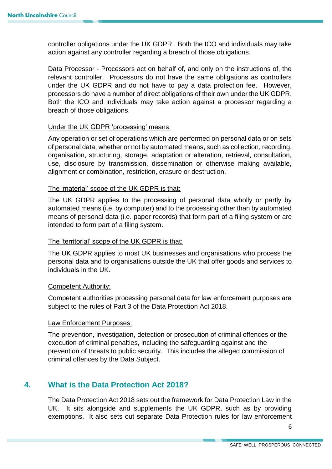controller obligations under the UK GDPR. Both the ICO and individuals may take action against any controller regarding a breach of those obligations.

Data Processor - Processors act on behalf of, and only on the instructions of, the relevant controller. Processors do not have the same obligations as controllers under the UK GDPR and do not have to pay a data protection fee. However, processors do have a number of direct obligations of their own under the UK GDPR. Both the ICO and individuals may take action against a processor regarding a breach of those obligations.

#### Under the UK GDPR 'processing' means:

Any operation or set of operations which are performed on personal data or on sets of personal data, whether or not by automated means, such as collection, recording, organisation, structuring, storage, adaptation or alteration, retrieval, consultation, use, disclosure by transmission, dissemination or otherwise making available, alignment or combination, restriction, erasure or destruction.

#### The 'material' scope of the UK GDPR is that:

The UK GDPR applies to the processing of personal data wholly or partly by automated means (i.e. by computer) and to the processing other than by automated means of personal data (i.e. paper records) that form part of a filing system or are intended to form part of a filing system.

#### The 'territorial' scope of the UK GDPR is that:

The UK GDPR applies to most UK businesses and organisations who process the personal data and to organisations outside the UK that offer goods and services to individuals in the UK.

#### Competent Authority:

Competent authorities processing personal data for law enforcement purposes are subject to the rules of Part 3 of the Data Protection Act 2018.

#### Law Enforcement Purposes:

The prevention, investigation, detection or prosecution of criminal offences or the execution of criminal penalties, including the safeguarding against and the prevention of threats to public security. This includes the alleged commission of criminal offences by the Data Subject.

## <span id="page-5-0"></span>**4. What is the Data Protection Act 2018?**

The Data Protection Act 2018 sets out the framework for Data Protection Law in the UK. It sits alongside and supplements the UK GDPR, such as by providing exemptions. It also sets out separate Data Protection rules for law enforcement

6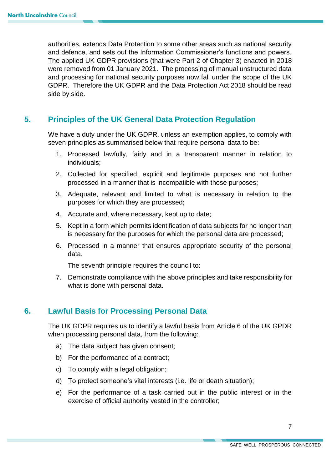authorities, extends Data Protection to some other areas such as national security and defence, and sets out the Information Commissioner's functions and powers. The applied UK GDPR provisions (that were Part 2 of Chapter 3) enacted in 2018 were removed from 01 January 2021. The processing of manual unstructured data and processing for national security purposes now fall under the scope of the UK GDPR. Therefore the UK GDPR and the Data Protection Act 2018 should be read side by side.

## <span id="page-6-0"></span>**5. Principles of the UK General Data Protection Regulation**

We have a duty under the UK GDPR, unless an exemption applies, to comply with seven principles as summarised below that require personal data to be:

- 1. Processed lawfully, fairly and in a transparent manner in relation to individuals;
- 2. Collected for specified, explicit and legitimate purposes and not further processed in a manner that is incompatible with those purposes;
- 3. Adequate, relevant and limited to what is necessary in relation to the purposes for which they are processed;
- 4. Accurate and, where necessary, kept up to date;
- 5. Kept in a form which permits identification of data subjects for no longer than is necessary for the purposes for which the personal data are processed;
- 6. Processed in a manner that ensures appropriate security of the personal data.

The seventh principle requires the council to:

7. Demonstrate compliance with the above principles and take responsibility for what is done with personal data.

## <span id="page-6-1"></span>**6. Lawful Basis for Processing Personal Data**

The UK GDPR requires us to identify a lawful basis from Article 6 of the UK GPDR when processing personal data, from the following:

- a) The data subject has given consent;
- b) For the performance of a contract;
- c) To comply with a legal obligation;
- d) To protect someone's vital interests (i.e. life or death situation);
- e) For the performance of a task carried out in the public interest or in the exercise of official authority vested in the controller;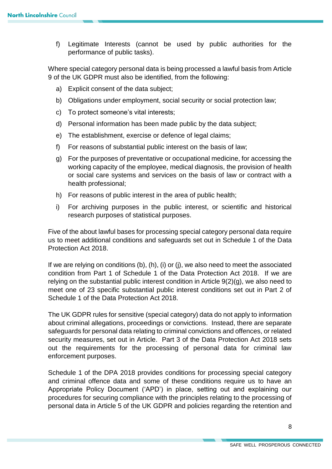f) Legitimate Interests (cannot be used by public authorities for the performance of public tasks).

Where special category personal data is being processed a lawful basis from Article 9 of the UK GDPR must also be identified, from the following:

- a) Explicit consent of the data subject;
- b) Obligations under employment, social security or social protection law;
- c) To protect someone's vital interests;
- d) Personal information has been made public by the data subject;
- e) The establishment, exercise or defence of legal claims;
- f) For reasons of substantial public interest on the basis of law;
- g) For the purposes of preventative or occupational medicine, for accessing the working capacity of the employee, medical diagnosis, the provision of health or social care systems and services on the basis of law or contract with a health professional;
- h) For reasons of public interest in the area of public health;
- i) For archiving purposes in the public interest, or scientific and historical research purposes of statistical purposes.

Five of the about lawful bases for processing special category personal data require us to meet additional conditions and safeguards set out in Schedule 1 of the Data Protection Act 2018.

If we are relying on conditions (b), (h), (i) or (j), we also need to meet the associated condition from Part 1 of Schedule 1 of the Data Protection Act 2018. If we are relying on the substantial public interest condition in Article 9(2)(g), we also need to meet one of 23 specific substantial public interest conditions set out in Part 2 of Schedule 1 of the Data Protection Act 2018.

The UK GDPR rules for sensitive (special category) data do not apply to information about criminal allegations, proceedings or convictions. Instead, there are separate safeguards for personal data relating to criminal convictions and offences, or related security measures, set out in Article. Part 3 of the Data Protection Act 2018 sets out the requirements for the processing of personal data for criminal law enforcement purposes.

Schedule 1 of the DPA 2018 provides conditions for processing special category and criminal offence data and some of these conditions require us to have an Appropriate Policy Document ('APD') in place, setting out and explaining our procedures for securing compliance with the principles relating to the processing of personal data in Article 5 of the UK GDPR and policies regarding the retention and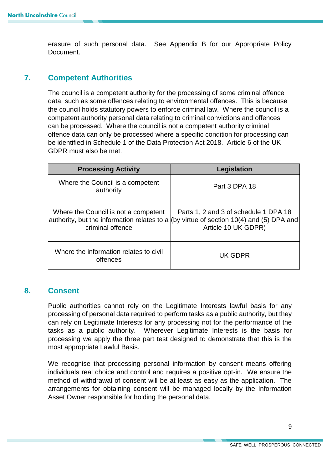erasure of such personal data. See Appendix B for our Appropriate Policy Document.

## <span id="page-8-0"></span>**7. Competent Authorities**

The council is a competent authority for the processing of some criminal offence data, such as some offences relating to environmental offences. This is because the council holds statutory powers to enforce criminal law. Where the council is a competent authority personal data relating to criminal convictions and offences can be processed. Where the council is not a competent authority criminal offence data can only be processed where a specific condition for processing can be identified in Schedule 1 of the Data Protection Act 2018. Article 6 of the UK GDPR must also be met.

| <b>Processing Activity</b>                               | Legislation                                                                                                                                             |  |
|----------------------------------------------------------|---------------------------------------------------------------------------------------------------------------------------------------------------------|--|
| Where the Council is a competent<br>authority            | Part 3 DPA 18                                                                                                                                           |  |
| Where the Council is not a competent<br>criminal offence | Parts 1, 2 and 3 of schedule 1 DPA 18<br>authority, but the information relates to a (by virtue of section 10(4) and (5) DPA and<br>Article 10 UK GDPR) |  |
| Where the information relates to civil<br>offences       | UK GDPR                                                                                                                                                 |  |

## <span id="page-8-1"></span>**8. Consent**

Public authorities cannot rely on the Legitimate Interests lawful basis for any processing of personal data required to perform tasks as a public authority, but they can rely on Legitimate Interests for any processing not for the performance of the tasks as a public authority. Wherever Legitimate Interests is the basis for processing we apply the three part test designed to demonstrate that this is the most appropriate Lawful Basis.

We recognise that processing personal information by consent means offering individuals real choice and control and requires a positive opt-in. We ensure the method of withdrawal of consent will be at least as easy as the application. The arrangements for obtaining consent will be managed locally by the Information Asset Owner responsible for holding the personal data.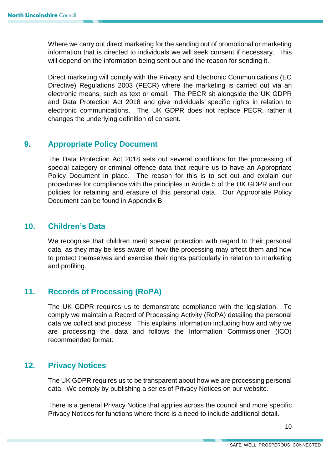Where we carry out direct marketing for the sending out of promotional or marketing information that is directed to individuals we will seek consent if necessary. This will depend on the information being sent out and the reason for sending it.

Direct marketing will comply with the Privacy and Electronic Communications (EC Directive) Regulations 2003 (PECR) where the marketing is carried out via an electronic means, such as text or email. The PECR sit alongside the UK GDPR and Data Protection Act 2018 and give individuals specific rights in relation to electronic communications. The UK GDPR does not replace PECR, rather it changes the underlying definition of consent.

## <span id="page-9-0"></span>**9. Appropriate Policy Document**

The Data Protection Act 2018 sets out several conditions for the processing of special category or criminal offence data that require us to have an Appropriate Policy Document in place. The reason for this is to set out and explain our procedures for compliance with the principles in Article 5 of the UK GDPR and our policies for retaining and erasure of this personal data. Our Appropriate Policy Document can be found in Appendix B.

## <span id="page-9-1"></span>**10. Children's Data**

We recognise that children merit special protection with regard to their personal data, as they may be less aware of how the processing may affect them and how to protect themselves and exercise their rights particularly in relation to marketing and profiling.

## <span id="page-9-2"></span>**11. Records of Processing (RoPA)**

The UK GDPR requires us to demonstrate compliance with the legislation. To comply we maintain a Record of Processing Activity (RoPA) detailing the personal data we collect and process. This explains information including how and why we are processing the data and follows the Information Commissioner (ICO) recommended format.

## <span id="page-9-3"></span>**12. Privacy Notices**

The UK GDPR requires us to be transparent about how we are processing personal data. We comply by publishing a series of Privacy Notices on our website.

There is a general Privacy Notice that applies across the council and more specific Privacy Notices for functions where there is a need to include additional detail.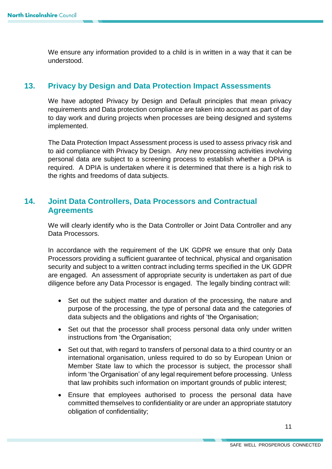We ensure any information provided to a child is in written in a way that it can be understood.

## <span id="page-10-0"></span>**13. Privacy by Design and Data Protection Impact Assessments**

We have adopted Privacy by Design and Default principles that mean privacy requirements and Data protection compliance are taken into account as part of day to day work and during projects when processes are being designed and systems implemented.

The Data Protection Impact Assessment process is used to assess privacy risk and to aid compliance with Privacy by Design. Any new processing activities involving personal data are subject to a screening process to establish whether a DPIA is required. A DPIA is undertaken where it is determined that there is a high risk to the rights and freedoms of data subjects.

## <span id="page-10-1"></span>**14. Joint Data Controllers, Data Processors and Contractual Agreements**

We will clearly identify who is the Data Controller or Joint Data Controller and any Data Processors.

In accordance with the requirement of the UK GDPR we ensure that only Data Processors providing a sufficient guarantee of technical, physical and organisation security and subject to a written contract including terms specified in the UK GDPR are engaged. An assessment of appropriate security is undertaken as part of due diligence before any Data Processor is engaged. The legally binding contract will:

- Set out the subject matter and duration of the processing, the nature and purpose of the processing, the type of personal data and the categories of data subjects and the obligations and rights of 'the Organisation;
- Set out that the processor shall process personal data only under written instructions from 'the Organisation;
- Set out that, with regard to transfers of personal data to a third country or an international organisation, unless required to do so by European Union or Member State law to which the processor is subject, the processor shall inform 'the Organisation' of any legal requirement before processing. Unless that law prohibits such information on important grounds of public interest;
- Ensure that employees authorised to process the personal data have committed themselves to confidentiality or are under an appropriate statutory obligation of confidentiality;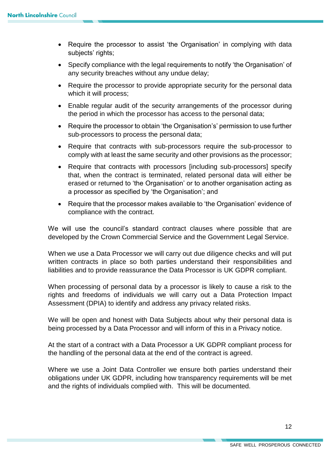- Require the processor to assist 'the Organisation' in complying with data subjects' rights;
- Specify compliance with the legal requirements to notify 'the Organisation' of any security breaches without any undue delay;
- Require the processor to provide appropriate security for the personal data which it will process;
- Enable regular audit of the security arrangements of the processor during the period in which the processor has access to the personal data;
- Require the processor to obtain 'the Organisation's' permission to use further sub-processors to process the personal data;
- Require that contracts with sub-processors require the sub-processor to comply with at least the same security and other provisions as the processor;
- Require that contracts with processors [including sub-processors] specify that, when the contract is terminated, related personal data will either be erased or returned to 'the Organisation' or to another organisation acting as a processor as specified by 'the Organisation'; and
- Require that the processor makes available to 'the Organisation' evidence of compliance with the contract.

We will use the council's standard contract clauses where possible that are developed by the Crown Commercial Service and the Government Legal Service.

When we use a Data Processor we will carry out due diligence checks and will put written contracts in place so both parties understand their responsibilities and liabilities and to provide reassurance the Data Processor is UK GDPR compliant.

When processing of personal data by a processor is likely to cause a risk to the rights and freedoms of individuals we will carry out a Data Protection Impact Assessment (DPIA) to identify and address any privacy related risks.

We will be open and honest with Data Subjects about why their personal data is being processed by a Data Processor and will inform of this in a Privacy notice.

At the start of a contract with a Data Processor a UK GDPR compliant process for the handling of the personal data at the end of the contract is agreed.

Where we use a Joint Data Controller we ensure both parties understand their obligations under UK GDPR, including how transparency requirements will be met and the rights of individuals complied with. This will be documented.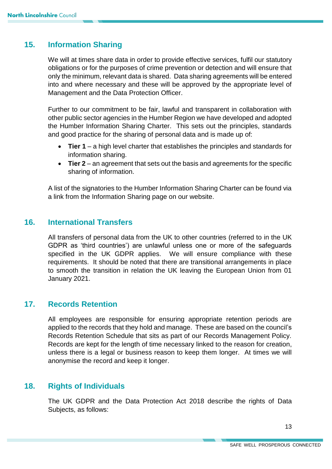## <span id="page-12-0"></span>**15. Information Sharing**

We will at times share data in order to provide effective services, fulfil our statutory obligations or for the purposes of crime prevention or detection and will ensure that only the minimum, relevant data is shared. Data sharing agreements will be entered into and where necessary and these will be approved by the appropriate level of Management and the Data Protection Officer.

Further to our commitment to be fair, lawful and transparent in collaboration with other public sector agencies in the Humber Region we have developed and adopted the Humber Information Sharing Charter. This sets out the principles, standards and good practice for the sharing of personal data and is made up of:

- **Tier 1** a high level charter that establishes the principles and standards for information sharing.
- **Tier 2** an agreement that sets out the basis and agreements for the specific sharing of information.

A list of the signatories to the Humber Information Sharing Charter can be found via a link from the Information Sharing page on our website.

## <span id="page-12-1"></span>**16. International Transfers**

All transfers of personal data from the UK to other countries (referred to in the UK GDPR as 'third countries') are unlawful unless one or more of the safeguards specified in the UK GDPR applies. We will ensure compliance with these requirements. It should be noted that there are transitional arrangements in place to smooth the transition in relation the UK leaving the European Union from 01 January 2021.

## <span id="page-12-2"></span>**17. Records Retention**

All employees are responsible for ensuring appropriate retention periods are applied to the records that they hold and manage. These are based on the council's Records Retention Schedule that sits as part of our Records Management Policy. Records are kept for the length of time necessary linked to the reason for creation, unless there is a legal or business reason to keep them longer. At times we will anonymise the record and keep it longer.

## <span id="page-12-3"></span>**18. Rights of Individuals**

The UK GDPR and the Data Protection Act 2018 describe the rights of Data Subjects, as follows: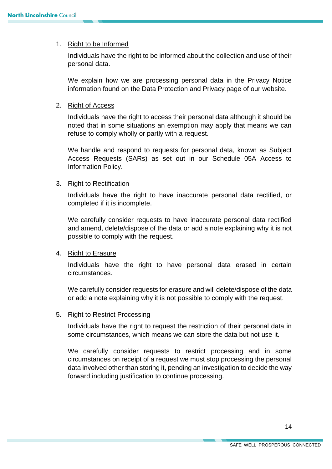#### 1. Right to be Informed

Individuals have the right to be informed about the collection and use of their personal data.

We explain how we are processing personal data in the Privacy Notice information found on the Data Protection and Privacy page of our website.

#### 2. Right of Access

Individuals have the right to access their personal data although it should be noted that in some situations an exemption may apply that means we can refuse to comply wholly or partly with a request.

We handle and respond to requests for personal data, known as Subject Access Requests (SARs) as set out in our Schedule 05A Access to Information Policy.

#### 3. Right to Rectification

Individuals have the right to have inaccurate personal data rectified, or completed if it is incomplete.

We carefully consider requests to have inaccurate personal data rectified and amend, delete/dispose of the data or add a note explaining why it is not possible to comply with the request.

#### 4. Right to Erasure

Individuals have the right to have personal data erased in certain circumstances.

We carefully consider requests for erasure and will delete/dispose of the data or add a note explaining why it is not possible to comply with the request.

#### 5. Right to Restrict Processing

Individuals have the right to request the restriction of their personal data in some circumstances, which means we can store the data but not use it.

We carefully consider requests to restrict processing and in some circumstances on receipt of a request we must stop processing the personal data involved other than storing it, pending an investigation to decide the way forward including justification to continue processing.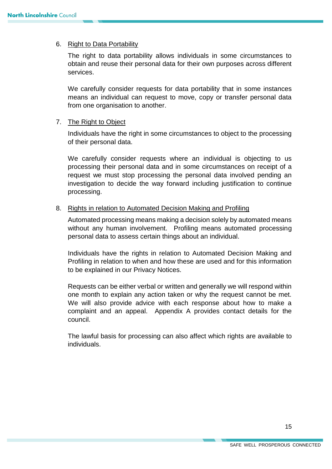### 6. Right to Data Portability

The right to data portability allows individuals in some circumstances to obtain and reuse their personal data for their own purposes across different services.

We carefully consider requests for data portability that in some instances means an individual can request to move, copy or transfer personal data from one organisation to another.

#### 7. The Right to Object

Individuals have the right in some circumstances to object to the processing of their personal data.

We carefully consider requests where an individual is objecting to us processing their personal data and in some circumstances on receipt of a request we must stop processing the personal data involved pending an investigation to decide the way forward including justification to continue processing.

#### 8. Rights in relation to Automated Decision Making and Profiling

Automated processing means making a decision solely by automated means without any human involvement. Profiling means automated processing personal data to assess certain things about an individual.

Individuals have the rights in relation to Automated Decision Making and Profiling in relation to when and how these are used and for this information to be explained in our Privacy Notices.

Requests can be either verbal or written and generally we will respond within one month to explain any action taken or why the request cannot be met. We will also provide advice with each response about how to make a complaint and an appeal. Appendix A provides contact details for the council.

The lawful basis for processing can also affect which rights are available to individuals.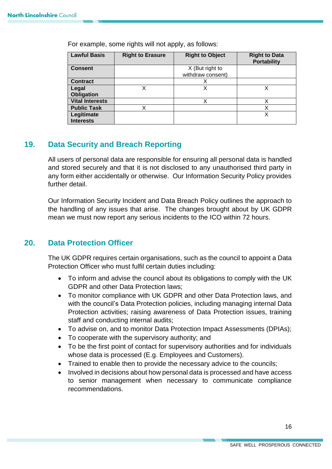| <b>Lawful Basis</b>    | <b>Right to Erasure</b> | <b>Right to Object</b> | <b>Right to Data</b><br><b>Portability</b> |
|------------------------|-------------------------|------------------------|--------------------------------------------|
| <b>Consent</b>         |                         | X (But right to        |                                            |
|                        |                         | withdraw consent)      |                                            |
| <b>Contract</b>        |                         |                        |                                            |
| Legal                  | Χ                       |                        |                                            |
| <b>Obligation</b>      |                         |                        |                                            |
| <b>Vital Interests</b> |                         | х                      | Χ                                          |
| <b>Public Task</b>     | X                       |                        | Χ                                          |
| Legitimate             |                         |                        |                                            |
| <b>Interests</b>       |                         |                        |                                            |

For example, some rights will not apply, as follows:

## <span id="page-15-0"></span>**19. Data Security and Breach Reporting**

All users of personal data are responsible for ensuring all personal data is handled and stored securely and that it is not disclosed to any unauthorised third party in any form either accidentally or otherwise. Our Information Security Policy provides further detail.

Our Information Security Incident and Data Breach Policy outlines the approach to the handling of any issues that arise. The changes brought about by UK GDPR mean we must now report any serious incidents to the ICO within 72 hours.

## <span id="page-15-1"></span>**20. Data Protection Officer**

The UK GDPR requires certain organisations, such as the council to appoint a Data Protection Officer who must fulfil certain duties including:

- To inform and advise the council about its obligations to comply with the UK GDPR and other Data Protection laws;
- To monitor compliance with UK GDPR and other Data Protection laws, and with the council's Data Protection policies, including managing internal Data Protection activities; raising awareness of Data Protection issues, training staff and conducting internal audits;
- To advise on, and to monitor Data Protection Impact Assessments (DPIAs);
- To cooperate with the supervisory authority; and
- To be the first point of contact for supervisory authorities and for individuals whose data is processed (E.g. Employees and Customers).
- Trained to enable then to provide the necessary advice to the councils:
- Involved in decisions about how personal data is processed and have access to senior management when necessary to communicate compliance recommendations.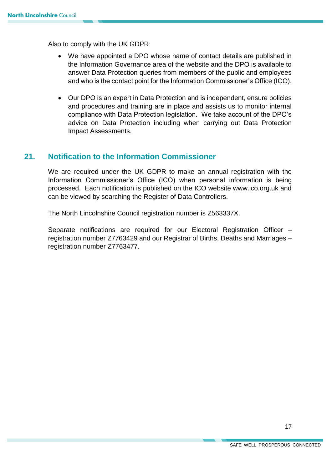Also to comply with the UK GDPR:

- We have appointed a DPO whose name of contact details are published in the Information Governance area of the website and the DPO is available to answer Data Protection queries from members of the public and employees and who is the contact point for the Information Commissioner's Office (ICO).
- Our DPO is an expert in Data Protection and is independent, ensure policies and procedures and training are in place and assists us to monitor internal compliance with Data Protection legislation. We take account of the DPO's advice on Data Protection including when carrying out Data Protection Impact Assessments.

## <span id="page-16-0"></span>**21. Notification to the Information Commissioner**

We are required under the UK GDPR to make an annual registration with the Information Commissioner's Office (ICO) when personal information is being processed. Each notification is published on the ICO website www.ico.org.uk and can be viewed by searching the Register of Data Controllers.

The North Lincolnshire Council registration number is Z563337X.

Separate notifications are required for our Electoral Registration Officer – registration number Z7763429 and our Registrar of Births, Deaths and Marriages – registration number Z7763477.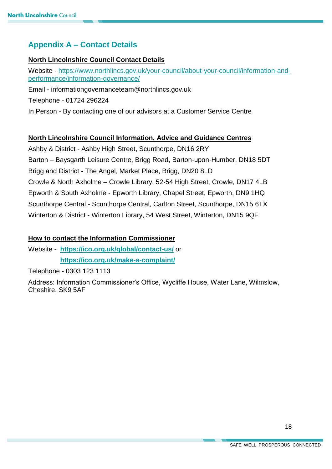## <span id="page-17-0"></span>**Appendix A – Contact Details**

#### **North Lincolnshire Council Contact Details**

Website - [https://www.northlincs.gov.uk/your-council/about-your-council/information-and](https://www.northlincs.gov.uk/your-council/about-your-council/information-and-performance/information-governance/)[performance/information-governance/](https://www.northlincs.gov.uk/your-council/about-your-council/information-and-performance/information-governance/)

Email - informationgovernanceteam@northlincs.gov.uk

Telephone - 01724 296224

In Person - By contacting one of our advisors at a Customer Service Centre

#### **North Lincolnshire Council Information, Advice and Guidance Centres**

Ashby & District - Ashby High Street, Scunthorpe, DN16 2RY Barton – Baysgarth Leisure Centre, Brigg Road, Barton-upon-Humber, DN18 5DT Brigg and District - The Angel, Market Place, Brigg, DN20 8LD Crowle & North Axholme – Crowle Library, 52-54 High Street, Crowle, DN17 4LB Epworth & South Axholme - Epworth Library, Chapel Street, Epworth, DN9 1HQ Scunthorpe Central - Scunthorpe Central, Carlton Street, Scunthorpe, DN15 6TX Winterton & District - Winterton Library, 54 West Street, Winterton, DN15 9QF

#### **How to contact the Information Commissioner**

Website - **<https://ico.org.uk/global/contact-us/>** or **<https://ico.org.uk/make-a-complaint/>**

Telephone - 0303 123 1113

Address: Information Commissioner's Office, Wycliffe House, Water Lane, Wilmslow, Cheshire, SK9 5AF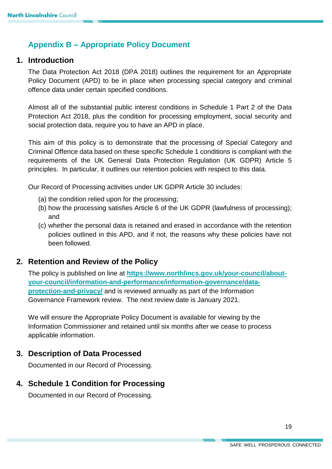## <span id="page-18-0"></span>**Appendix B – Appropriate Policy Document**

## **1. Introduction**

The Data Protection Act 2018 (DPA 2018) outlines the requirement for an Appropriate Policy Document (APD) to be in place when processing special category and criminal offence data under certain specified conditions.

Almost all of the substantial public interest conditions in Schedule 1 Part 2 of the Data Protection Act 2018, plus the condition for processing employment, social security and social protection data, require you to have an APD in place.

This aim of this policy is to demonstrate that the processing of Special Category and Criminal Offence data based on these specific Schedule 1 conditions is compliant with the requirements of the UK General Data Protection Regulation (UK GDPR) Article 5 principles. In particular, it outlines our retention policies with respect to this data.

Our Record of Processing activities under UK GDPR Article 30 includes:

- (a) the condition relied upon for the processing;
- (b) how the processing satisfies Article 6 of the UK GDPR (lawfulness of processing); and
- (c) whether the personal data is retained and erased in accordance with the retention policies outlined in this APD, and if not, the reasons why these policies have not been followed.

## **2. Retention and Review of the Policy**

The policy is published on line at **[https://www.northlincs.gov.uk/your-council/about](https://www.northlincs.gov.uk/your-council/about-your-council/information-and-performance/information-governance/data-protection-and-privacy/)[your-council/information-and-performance/information-governance/data](https://www.northlincs.gov.uk/your-council/about-your-council/information-and-performance/information-governance/data-protection-and-privacy/)[protection-and-privacy/](https://www.northlincs.gov.uk/your-council/about-your-council/information-and-performance/information-governance/data-protection-and-privacy/)** and is reviewed annually as part of the Information Governance Framework review. The next review date is January 2021.

We will ensure the Appropriate Policy Document is available for viewing by the Information Commissioner and retained until six months after we cease to process applicable information.

## **3. Description of Data Processed**

Documented in our Record of Processing.

## **4. Schedule 1 Condition for Processing**

Documented in our Record of Processing.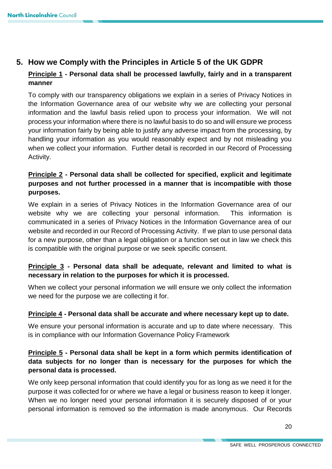## **5. How we Comply with the Principles in Article 5 of the UK GDPR**

## **Principle 1 - Personal data shall be processed lawfully, fairly and in a transparent manner**

To comply with our transparency obligations we explain in a series of Privacy Notices in the Information Governance area of our website why we are collecting your personal information and the lawful basis relied upon to process your information. We will not process your information where there is no lawful basis to do so and will ensure we process your information fairly by being able to justify any adverse impact from the processing, by handling your information as you would reasonably expect and by not misleading you when we collect your information. Further detail is recorded in our Record of Processing Activity.

## **Principle 2 - Personal data shall be collected for specified, explicit and legitimate purposes and not further processed in a manner that is incompatible with those purposes.**

We explain in a series of Privacy Notices in the Information Governance area of our website why we are collecting your personal information. This information is communicated in a series of Privacy Notices in the Information Governance area of our website and recorded in our Record of Processing Activity. If we plan to use personal data for a new purpose, other than a legal obligation or a function set out in law we check this is compatible with the original purpose or we seek specific consent.

## **Principle 3 - Personal data shall be adequate, relevant and limited to what is necessary in relation to the purposes for which it is processed.**

When we collect your personal information we will ensure we only collect the information we need for the purpose we are collecting it for.

#### **Principle 4 - Personal data shall be accurate and where necessary kept up to date.**

We ensure your personal information is accurate and up to date where necessary. This is in compliance with our Information Governance Policy Framework

## **Principle 5 - Personal data shall be kept in a form which permits identification of data subjects for no longer than is necessary for the purposes for which the personal data is processed.**

We only keep personal information that could identify you for as long as we need it for the purpose it was collected for or where we have a legal or business reason to keep it longer. When we no longer need your personal information it is securely disposed of or your personal information is removed so the information is made anonymous. Our Records